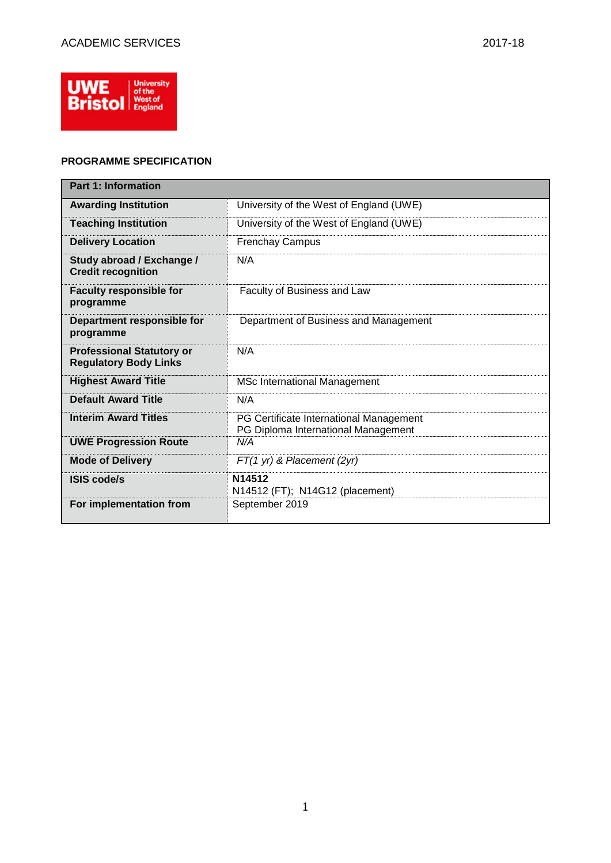

## **PROGRAMME SPECIFICATION**

| <b>Part 1: Information</b>                                       |                                                                                |  |  |  |  |  |
|------------------------------------------------------------------|--------------------------------------------------------------------------------|--|--|--|--|--|
| <b>Awarding Institution</b>                                      | University of the West of England (UWE)                                        |  |  |  |  |  |
| <b>Teaching Institution</b>                                      | University of the West of England (UWE)                                        |  |  |  |  |  |
| <b>Delivery Location</b>                                         | <b>Frenchay Campus</b>                                                         |  |  |  |  |  |
| Study abroad / Exchange /<br><b>Credit recognition</b>           | N/A                                                                            |  |  |  |  |  |
| <b>Faculty responsible for</b><br>programme                      | Faculty of Business and Law                                                    |  |  |  |  |  |
| Department responsible for<br>programme                          | Department of Business and Management                                          |  |  |  |  |  |
| <b>Professional Statutory or</b><br><b>Regulatory Body Links</b> | N/A                                                                            |  |  |  |  |  |
| <b>Highest Award Title</b>                                       | <b>MSc International Management</b>                                            |  |  |  |  |  |
| <b>Default Award Title</b>                                       | N/A                                                                            |  |  |  |  |  |
| <b>Interim Award Titles</b>                                      | PG Certificate International Management<br>PG Diploma International Management |  |  |  |  |  |
| <b>UWE Progression Route</b>                                     | N/A                                                                            |  |  |  |  |  |
| <b>Mode of Delivery</b>                                          | $FT(1 yr)$ & Placement (2yr)                                                   |  |  |  |  |  |
| <b>ISIS code/s</b>                                               | N <sub>14512</sub><br>N14512 (FT); N14G12 (placement)                          |  |  |  |  |  |
| For implementation from                                          | September 2019                                                                 |  |  |  |  |  |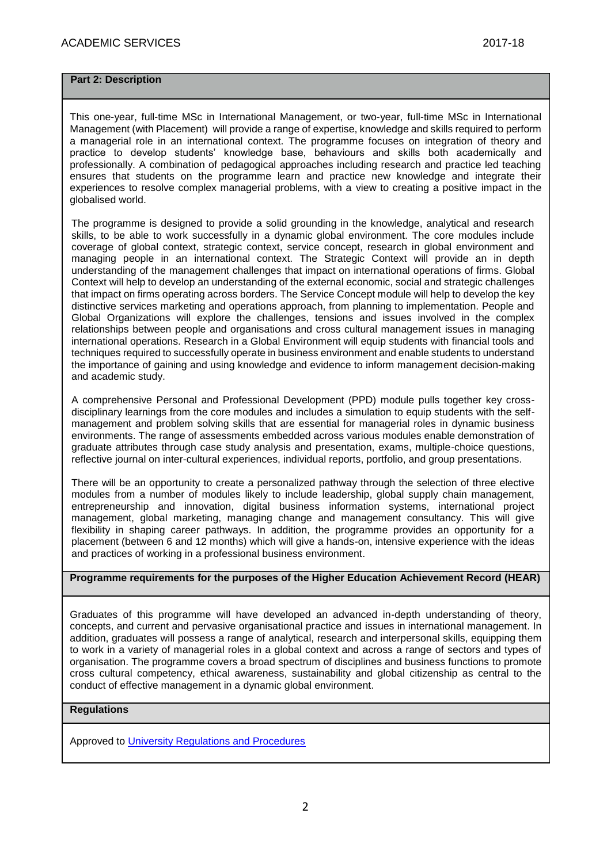#### **Part 2: Description**

This one-year, full-time MSc in International Management, or two-year, full-time MSc in International Management (with Placement) will provide a range of expertise, knowledge and skills required to perform a managerial role in an international context. The programme focuses on integration of theory and practice to develop students' knowledge base, behaviours and skills both academically and professionally. A combination of pedagogical approaches including research and practice led teaching ensures that students on the programme learn and practice new knowledge and integrate their experiences to resolve complex managerial problems, with a view to creating a positive impact in the globalised world.

The programme is designed to provide a solid grounding in the knowledge, analytical and research skills, to be able to work successfully in a dynamic global environment. The core modules include coverage of global context, strategic context, service concept, research in global environment and managing people in an international context. The Strategic Context will provide an in depth understanding of the management challenges that impact on international operations of firms. Global Context will help to develop an understanding of the external economic, social and strategic challenges that impact on firms operating across borders. The Service Concept module will help to develop the key distinctive services marketing and operations approach, from planning to implementation. People and Global Organizations will explore the challenges, tensions and issues involved in the complex relationships between people and organisations and cross cultural management issues in managing international operations. Research in a Global Environment will equip students with financial tools and techniques required to successfully operate in business environment and enable students to understand the importance of gaining and using knowledge and evidence to inform management decision-making and academic study.

A comprehensive Personal and Professional Development (PPD) module pulls together key crossdisciplinary learnings from the core modules and includes a simulation to equip students with the selfmanagement and problem solving skills that are essential for managerial roles in dynamic business environments. The range of assessments embedded across various modules enable demonstration of graduate attributes through case study analysis and presentation, exams, multiple-choice questions, reflective journal on inter-cultural experiences, individual reports, portfolio, and group presentations.

There will be an opportunity to create a personalized pathway through the selection of three elective modules from a number of modules likely to include leadership, global supply chain management, entrepreneurship and innovation, digital business information systems, international project management, global marketing, managing change and management consultancy. This will give flexibility in shaping career pathways. In addition, the programme provides an opportunity for a placement (between 6 and 12 months) which will give a hands-on, intensive experience with the ideas and practices of working in a professional business environment.

## **Programme requirements for the purposes of the Higher Education Achievement Record (HEAR)**

Graduates of this programme will have developed an advanced in-depth understanding of theory, concepts, and current and pervasive organisational practice and issues in international management. In addition, graduates will possess a range of analytical, research and interpersonal skills, equipping them to work in a variety of managerial roles in a global context and across a range of sectors and types of organisation. The programme covers a broad spectrum of disciplines and business functions to promote cross cultural competency, ethical awareness, sustainability and global citizenship as central to the conduct of effective management in a dynamic global environment.

### **Regulations**

Approved to [University Regulations and Procedures](http://www1.uwe.ac.uk/students/academicadvice/assessments/regulationsandprocedures.aspx)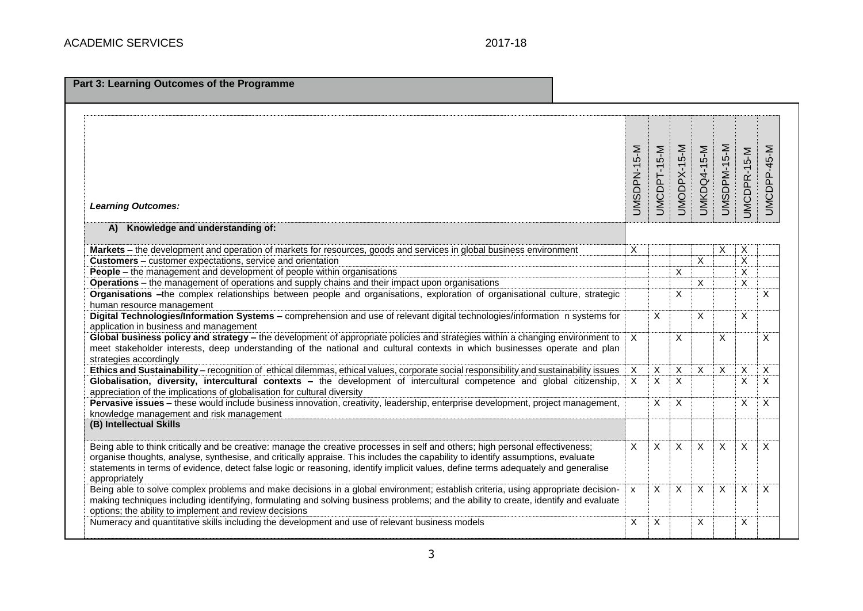| Part 3: Learning Outcomes of the Programme                                                                                                                                        |                         |                |                |                    |             |                         |             |
|-----------------------------------------------------------------------------------------------------------------------------------------------------------------------------------|-------------------------|----------------|----------------|--------------------|-------------|-------------------------|-------------|
|                                                                                                                                                                                   |                         |                |                |                    |             |                         |             |
|                                                                                                                                                                                   |                         |                |                |                    |             |                         |             |
|                                                                                                                                                                                   |                         |                |                |                    |             |                         |             |
|                                                                                                                                                                                   | UMSDPN-15-M             | UMCDPT-15-M    | UMODPX-15-M    |                    | UMSDPM-15-M |                         | UMCDPP-45-M |
|                                                                                                                                                                                   |                         |                |                |                    |             |                         |             |
|                                                                                                                                                                                   |                         |                |                |                    |             |                         |             |
|                                                                                                                                                                                   |                         |                |                |                    |             |                         |             |
| <b>Learning Outcomes:</b>                                                                                                                                                         |                         |                |                | <b>UMKDQ4-15-M</b> |             | JMCDPR-15-M             |             |
| A) Knowledge and understanding of:                                                                                                                                                |                         |                |                |                    |             |                         |             |
|                                                                                                                                                                                   |                         |                |                |                    |             |                         |             |
| Markets - the development and operation of markets for resources, goods and services in global business environment<br>Customers - customer expectations, service and orientation | X                       |                |                | $\overline{X}$     | X           | Χ<br>$\overline{X}$     |             |
| <b>People - the management and development of people within organisations</b>                                                                                                     |                         |                | X              |                    |             | $\overline{\mathsf{x}}$ |             |
| Operations - the management of operations and supply chains and their impact upon organisations                                                                                   |                         |                |                | $\overline{X}$     |             | $\overline{x}$          |             |
| Organisations -the complex relationships between people and organisations, exploration of organisational culture, strategic                                                       |                         |                | X              |                    |             |                         | X           |
| human resource management                                                                                                                                                         |                         |                |                |                    |             |                         |             |
| Digital Technologies/Information Systems - comprehension and use of relevant digital technologies/information n systems for                                                       |                         | $\overline{X}$ |                | X                  |             | X                       |             |
| application in business and management                                                                                                                                            |                         |                |                |                    |             |                         |             |
| Global business policy and strategy - the development of appropriate policies and strategies within a changing environment to                                                     | $\times$                |                | X              |                    | X           |                         | X           |
| meet stakeholder interests, deep understanding of the national and cultural contexts in which businesses operate and plan                                                         |                         |                |                |                    |             |                         |             |
| strategies accordingly                                                                                                                                                            |                         |                |                |                    |             |                         |             |
| Ethics and Sustainability - recognition of ethical dilemmas, ethical values, corporate social responsibility and sustainability issues                                            | Χ                       | X              | X              | X                  | X           | X                       | X           |
| Globalisation, diversity, intercultural contexts - the development of intercultural competence and global citizenship,                                                            | $\overline{\mathsf{x}}$ | $\overline{X}$ | $\overline{X}$ |                    |             | X                       | X           |
| appreciation of the implications of globalisation for cultural diversity                                                                                                          |                         |                |                |                    |             |                         |             |
| Pervasive issues - these would include business innovation, creativity, leadership, enterprise development, project management,                                                   |                         | $\mathsf{X}$   | X              |                    |             | X                       | X           |
| knowledge management and risk management<br>(B) Intellectual Skills                                                                                                               |                         |                |                |                    |             |                         |             |
|                                                                                                                                                                                   |                         |                |                |                    |             |                         |             |
| Being able to think critically and be creative: manage the creative processes in self and others; high personal effectiveness;                                                    | X                       | X              | X              | X                  | X           | $\times$                | X           |
| organise thoughts, analyse, synthesise, and critically appraise. This includes the capability to identify assumptions, evaluate                                                   |                         |                |                |                    |             |                         |             |
| statements in terms of evidence, detect false logic or reasoning, identify implicit values, define terms adequately and generalise                                                |                         |                |                |                    |             |                         |             |
| appropriately                                                                                                                                                                     |                         |                |                |                    |             |                         |             |
| Being able to solve complex problems and make decisions in a global environment; establish criteria, using appropriate decision-                                                  | $\mathsf{x}$            | X              | X              | X                  | X           | X                       | X           |
| making techniques including identifying, formulating and solving business problems; and the ability to create, identify and evaluate                                              |                         |                |                |                    |             |                         |             |
| options; the ability to implement and review decisions                                                                                                                            |                         |                |                |                    |             |                         |             |
| Numeracy and quantitative skills including the development and use of relevant business models                                                                                    | X                       | X              |                | X                  |             | X                       |             |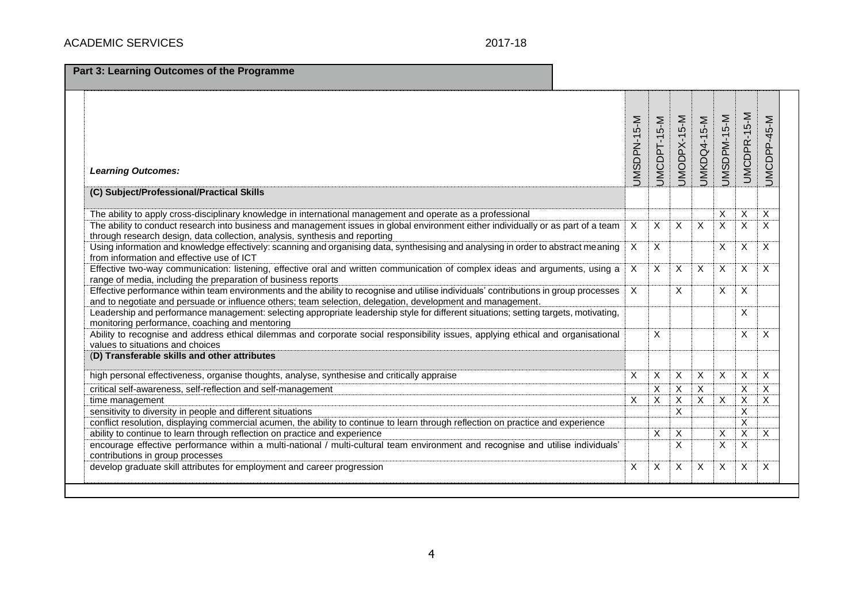| Part 3: Learning Outcomes of the Programme                                                                                                                                                                                                          |                |                |             |                    |                         |                         |             |
|-----------------------------------------------------------------------------------------------------------------------------------------------------------------------------------------------------------------------------------------------------|----------------|----------------|-------------|--------------------|-------------------------|-------------------------|-------------|
| <b>Learning Outcomes:</b>                                                                                                                                                                                                                           | JMSDPN-15-M    | JMCDPT-15-M    | UMODPX-15-M | <b>JMKDQ4-15-M</b> | UMSDPM-15-M             | UMCDPR-15-M             | UMCDPP-45-M |
| (C) Subject/Professional/Practical Skills                                                                                                                                                                                                           |                |                |             |                    |                         |                         |             |
| The ability to apply cross-disciplinary knowledge in international management and operate as a professional                                                                                                                                         |                |                |             |                    | X                       | X                       | X           |
| The ability to conduct research into business and management issues in global environment either individually or as part of a team<br>through research design, data collection, analysis, synthesis and reporting                                   | X<br>X         | X              | X           | $\mathsf{X}$       | $\overline{\mathsf{x}}$ | $\overline{X}$          | X           |
| Using information and knowledge effectively: scanning and organising data, synthesising and analysing in order to abstract meaning<br>from information and effective use of ICT                                                                     |                |                |             |                    | X                       | X                       | X           |
| Effective two-way communication: listening, effective oral and written communication of complex ideas and arguments, using a<br>range of media, including the preparation of business reports                                                       |                |                |             |                    | X                       | $\overline{\mathsf{x}}$ | X           |
| Effective performance within team environments and the ability to recognise and utilise individuals' contributions in group processes<br>and to negotiate and persuade or influence others; team selection, delegation, development and management. | $\overline{X}$ |                | X           |                    | X                       | $\mathsf{X}$            |             |
| Leadership and performance management: selecting appropriate leadership style for different situations; setting targets, motivating,<br>monitoring performance, coaching and mentoring                                                              |                |                |             |                    |                         | X                       |             |
| Ability to recognise and address ethical dilemmas and corporate social responsibility issues, applying ethical and organisational<br>values to situations and choices                                                                               |                | X              |             |                    |                         | X                       | X           |
| (D) Transferable skills and other attributes                                                                                                                                                                                                        |                |                |             |                    |                         |                         |             |
| high personal effectiveness, organise thoughts, analyse, synthesise and critically appraise                                                                                                                                                         | X              | X              | X           | X                  | X                       | X                       | X           |
| critical self-awareness, self-reflection and self-management                                                                                                                                                                                        |                | X              | X           | $\overline{X}$     |                         | X                       | X           |
| time management                                                                                                                                                                                                                                     | X              | $\overline{x}$ | Χ           | $\overline{X}$     | $\overline{\mathsf{x}}$ | $\overline{\mathsf{x}}$ | X           |
| sensitivity to diversity in people and different situations                                                                                                                                                                                         |                |                | X           |                    |                         | $\sf X$                 |             |
| conflict resolution, displaying commercial acumen, the ability to continue to learn through reflection on practice and experience                                                                                                                   |                |                |             |                    |                         | $\overline{\mathsf{x}}$ |             |
| ability to continue to learn through reflection on practice and experience                                                                                                                                                                          |                | $\mathsf X$    | X           |                    | Χ                       | $\overline{\mathsf{x}}$ | X           |
| encourage effective performance within a multi-national / multi-cultural team environment and recognise and utilise individuals'<br>contributions in group processes                                                                                |                |                | X           |                    | $\overline{x}$          | $\overline{\mathsf{x}}$ |             |
| develop graduate skill attributes for employment and career progression                                                                                                                                                                             | Χ              | X              | Х           | X                  | X                       | X                       | X           |
|                                                                                                                                                                                                                                                     |                |                |             |                    |                         |                         |             |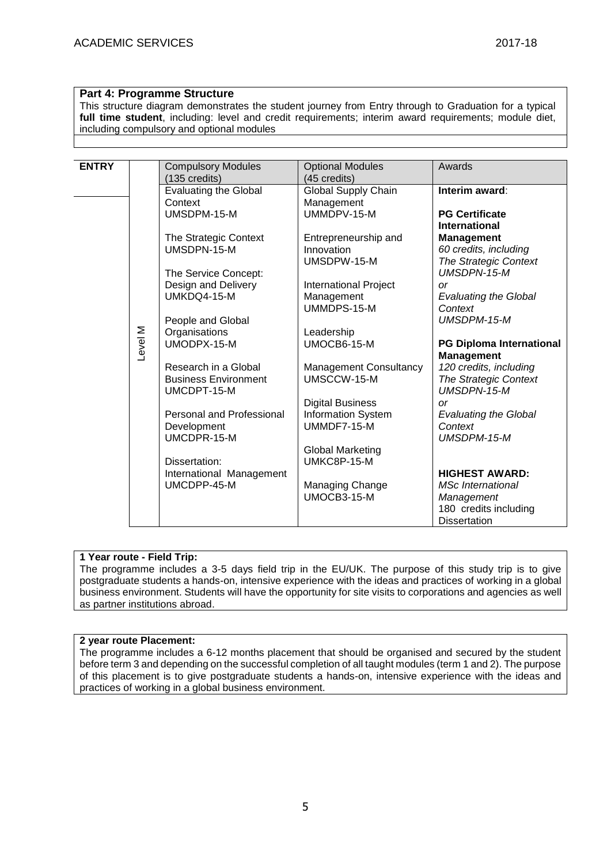## **Part 4: Programme Structure**

This structure diagram demonstrates the student journey from Entry through to Graduation for a typical **full time student**, including: level and credit requirements; interim award requirements; module diet, including compulsory and optional modules

| <b>ENTRY</b> |         | <b>Compulsory Modules</b>    | <b>Optional Modules</b>       | Awards                          |  |  |  |  |  |  |
|--------------|---------|------------------------------|-------------------------------|---------------------------------|--|--|--|--|--|--|
|              |         | (135 credits)                | (45 credits)                  |                                 |  |  |  |  |  |  |
|              |         | <b>Evaluating the Global</b> | Global Supply Chain           | Interim award:                  |  |  |  |  |  |  |
|              |         | Context                      | Management                    |                                 |  |  |  |  |  |  |
|              |         | UMSDPM-15-M                  | UMMDPV-15-M                   | <b>PG Certificate</b>           |  |  |  |  |  |  |
|              |         |                              |                               | <b>International</b>            |  |  |  |  |  |  |
|              |         | The Strategic Context        | Entrepreneurship and          | <b>Management</b>               |  |  |  |  |  |  |
|              |         | UMSDPN-15-M                  | Innovation                    | 60 credits, including           |  |  |  |  |  |  |
|              |         |                              |                               |                                 |  |  |  |  |  |  |
|              |         |                              | UMSDPW-15-M                   | The Strategic Context           |  |  |  |  |  |  |
|              |         | The Service Concept:         |                               | UMSDPN-15-M                     |  |  |  |  |  |  |
|              |         | Design and Delivery          | <b>International Project</b>  | or                              |  |  |  |  |  |  |
|              |         | UMKDQ4-15-M                  | Management                    | <b>Evaluating the Global</b>    |  |  |  |  |  |  |
|              |         |                              | UMMDPS-15-M                   | Context                         |  |  |  |  |  |  |
|              |         | People and Global            |                               | UMSDPM-15-M                     |  |  |  |  |  |  |
|              |         | Organisations                | Leadership                    |                                 |  |  |  |  |  |  |
|              |         | UMODPX-15-M                  | UMOCB6-15-M                   | <b>PG Diploma International</b> |  |  |  |  |  |  |
|              | Level M |                              |                               | <b>Management</b>               |  |  |  |  |  |  |
|              |         | Research in a Global         | <b>Management Consultancy</b> | 120 credits, including          |  |  |  |  |  |  |
|              |         | <b>Business Environment</b>  | UMSCCW-15-M                   | <b>The Strategic Context</b>    |  |  |  |  |  |  |
|              |         | UMCDPT-15-M                  |                               | <b>UMSDPN-15-M</b>              |  |  |  |  |  |  |
|              |         |                              | <b>Digital Business</b>       | <b>or</b>                       |  |  |  |  |  |  |
|              |         | Personal and Professional    | Information System            | <b>Evaluating the Global</b>    |  |  |  |  |  |  |
|              |         | Development                  | UMMDF7-15-M                   | Context                         |  |  |  |  |  |  |
|              |         | UMCDPR-15-M                  |                               | UMSDPM-15-M                     |  |  |  |  |  |  |
|              |         |                              |                               |                                 |  |  |  |  |  |  |
|              |         |                              | Global Marketing              |                                 |  |  |  |  |  |  |
|              |         | Dissertation:                | UMKC8P-15-M                   |                                 |  |  |  |  |  |  |
|              |         | International Management     |                               | <b>HIGHEST AWARD:</b>           |  |  |  |  |  |  |
|              |         | UMCDPP-45-M                  | Managing Change               | <b>MSc</b> International        |  |  |  |  |  |  |
|              |         |                              | $UMOCB3-15-M$                 | Management                      |  |  |  |  |  |  |
|              |         |                              |                               | 180 credits including           |  |  |  |  |  |  |
|              |         |                              |                               | <b>Dissertation</b>             |  |  |  |  |  |  |

### **1 Year route - Field Trip:**

The programme includes a 3-5 days field trip in the EU/UK. The purpose of this study trip is to give postgraduate students a hands-on, intensive experience with the ideas and practices of working in a global business environment. Students will have the opportunity for site visits to corporations and agencies as well as partner institutions abroad.

#### **2 year route Placement:**

The programme includes a 6-12 months placement that should be organised and secured by the student before term 3 and depending on the successful completion of all taught modules (term 1 and 2). The purpose of this placement is to give postgraduate students a hands-on, intensive experience with the ideas and practices of working in a global business environment.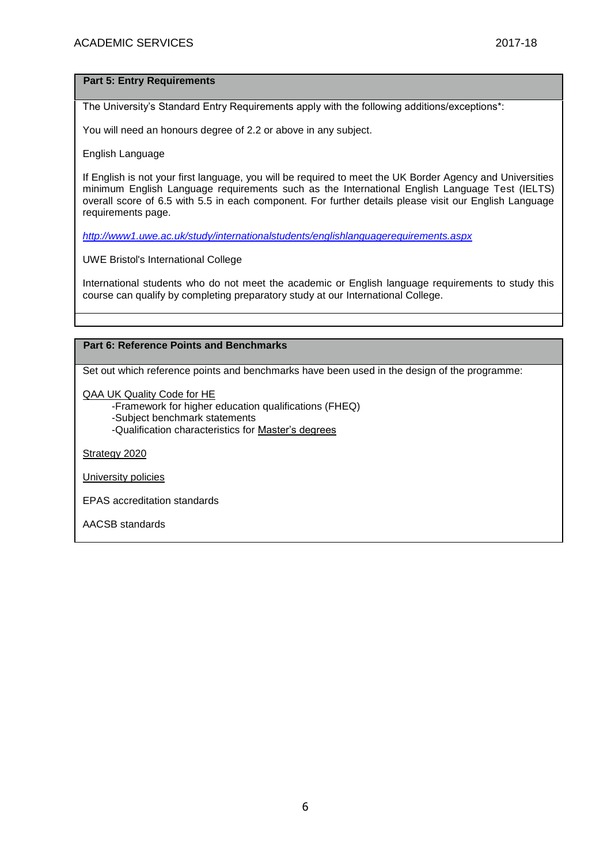#### **Part 5: Entry Requirements**

The University's Standard Entry Requirements apply with the following additions/exceptions\*:

You will need an honours degree of 2.2 or above in any subject.

English Language

If English is not your first language, you will be required to meet the UK Border Agency and Universities minimum English Language requirements such as the International English Language Test (IELTS) overall score of 6.5 with 5.5 in each component. For further details please visit our English Language requirements page.

*<http://www1.uwe.ac.uk/study/internationalstudents/englishlanguagerequirements.aspx>*

UWE Bristol's International College

International students who do not meet the academic or English language requirements to study this course can qualify by completing preparatory study at our International College.

## **Part 6: Reference Points and Benchmarks**

Set out which reference points and benchmarks have been used in the design of the programme:

[QAA UK Quality Code for HE](http://www.qaa.ac.uk/assuringstandardsandquality/quality-code/Pages/default.aspx)

-Framework for higher education qualifications (FHEQ)

- -Subject benchmark statements
- -Qualification characteristics for [Master's degrees](http://www.qaa.ac.uk/en/Publications/Documents/Masters-Degree-Characteristics-2010.pdf)

[Strategy 2020](http://www1.uwe.ac.uk/about/corporateinformation/strategy.aspx)

[University policies](http://www1.uwe.ac.uk/aboutus/policies)

EPAS accreditation standards

AACSB standards